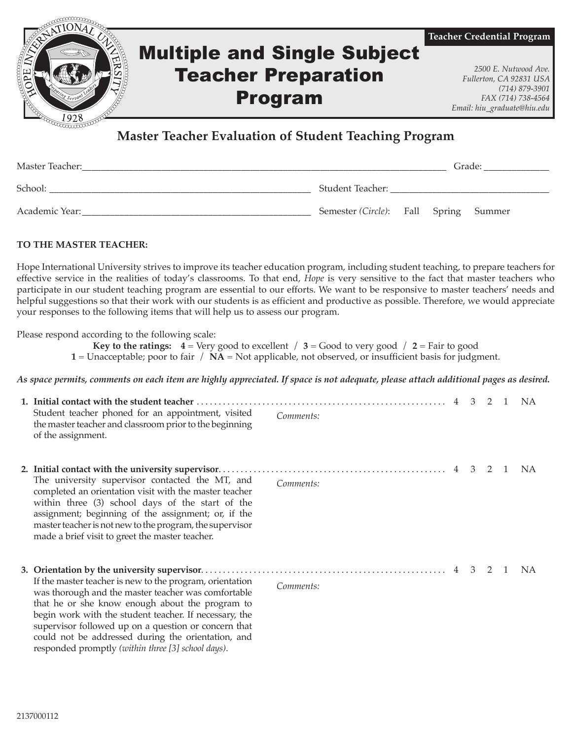

## **Master Teacher Evaluation of Student Teaching Program**

| Master Teacher: |                                       |  | Grade: |  |  |
|-----------------|---------------------------------------|--|--------|--|--|
| School:         | Student Teacher:                      |  |        |  |  |
| Academic Year:  | Semester (Circle): Fall Spring Summer |  |        |  |  |

## **TO THE MASTER TEACHER:**

Hope International University strives to improve its teacher education program, including student teaching, to prepare teachers for effective service in the realities of today's classrooms. To that end, *Hope* is very sensitive to the fact that master teachers who participate in our student teaching program are essential to our efforts. We want to be responsive to master teachers' needs and helpful suggestions so that their work with our students is as efficient and productive as possible. Therefore, we would appreciate your responses to the following items that will help us to assess our program.

Please respond according to the following scale:

**Key to the ratings:**  $4 = \text{Very good to excellent } / 3 = \text{Good to very good } / 2 = \text{Fair to good}$ 

**1** = Unacceptable; poor to fair / **NA** = Not applicable, not observed, or insufficient basis for judgment.

*As space permits, comments on each item are highly appreciated. If space is not adequate, please attach additional pages as desired.*

| Student teacher phoned for an appointment, visited<br>Comments:<br>the master teacher and classroom prior to the beginning<br>of the assignment.                                                                                                                                                                                                                                                              |  | 2 | $\overline{1}$ | NA. |
|---------------------------------------------------------------------------------------------------------------------------------------------------------------------------------------------------------------------------------------------------------------------------------------------------------------------------------------------------------------------------------------------------------------|--|---|----------------|-----|
| The university supervisor contacted the MT, and<br>Comments:<br>completed an orientation visit with the master teacher<br>within three (3) school days of the start of the<br>assignment; beginning of the assignment; or, if the<br>master teacher is not new to the program, the supervisor<br>made a brief visit to greet the master teacher.                                                              |  | 2 | $\overline{1}$ | NA. |
| If the master teacher is new to the program, orientation<br>Comments:<br>was thorough and the master teacher was comfortable<br>that he or she know enough about the program to<br>begin work with the student teacher. If necessary, the<br>supervisor followed up on a question or concern that<br>could not be addressed during the orientation, and<br>responded promptly (within three [3] school days). |  |   |                | NA. |